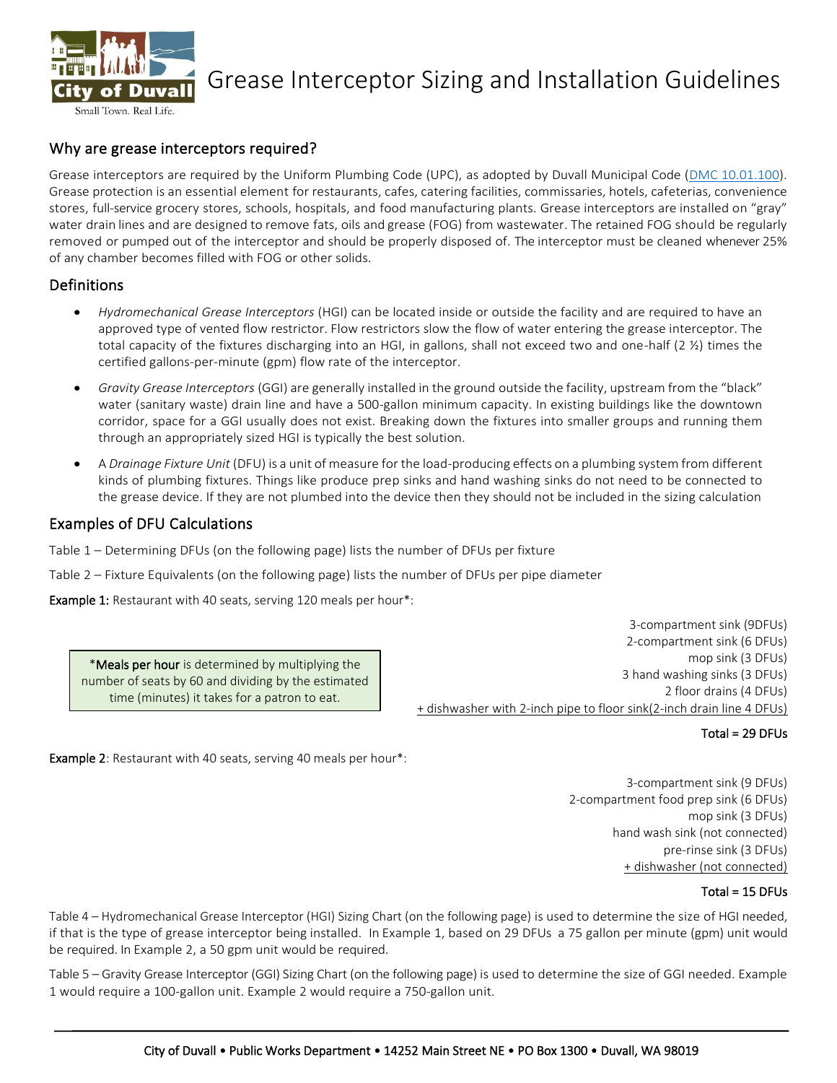

# Grease Interceptor Sizing and Installation Guidelines

## Why are grease interceptors required?

Grease interceptors are required by the Uniform Plumbing Code (UPC), as adopted by Duvall Municipal Code [\(DMC 10.01.100\)](https://library.municode.com/wa/duvall/codes/code_of_ordinances?nodeId=CO_TIT10BUCO_CH10.01COCO_10.01.100UNPLCOAD). Grease protection is an essential element for restaurants, cafes, catering facilities, commissaries, hotels, cafeterias, convenience stores, full-service grocery stores, schools, hospitals, and food manufacturing plants. Grease interceptors are installed on "gray" water drain lines and are designed to remove fats, oils and grease (FOG) from wastewater. The retained FOG should be regularly removed or pumped out of the interceptor and should be properly disposed of. The interceptor must be cleaned whenever 25% of any chamber becomes filled with FOG or other solids.

### Definitions

- *Hydromechanical Grease Interceptors* (HGI) can be located inside or outside the facility and are required to have an approved type of vented flow restrictor. Flow restrictors slow the flow of water entering the grease interceptor. The total capacity of the fixtures discharging into an HGI, in gallons, shall not exceed two and one-half (2 ½) times the certified gallons-per-minute (gpm) flow rate of the interceptor.
- *Gravity Grease Interceptors* (GGI) are generally installed in the ground outside the facility, upstream from the "black" water (sanitary waste) drain line and have a 500-gallon minimum capacity. In existing buildings like the downtown corridor, space for a GGI usually does not exist. Breaking down the fixtures into smaller groups and running them through an appropriately sized HGI is typically the best solution.
- A *Drainage Fixture Unit* (DFU) is a unit of measure for the load-producing effects on a plumbing system from different kinds of plumbing fixtures. Things like produce prep sinks and hand washing sinks do not need to be connected to the grease device. If they are not plumbed into the device then they should not be included in the sizing calculation

## Examples of DFU Calculations

Table 1 – Determining DFUs (on the following page) lists the number of DFUs per fixture

Table 2 – Fixture Equivalents (on the following page) lists the number of DFUs per pipe diameter

Example 1: Restaurant with 40 seats, serving 120 meals per hour\*:

\*Meals per hour is determined by multiplying the number of seats by 60 and dividing by the estimated time (minutes) it takes for a patron to eat.

3-compartment sink (9DFUs) 2-compartment sink (6 DFUs) mop sink (3 DFUs) 3 hand washing sinks (3 DFUs) 2 floor drains (4 DFUs) + dishwasher with 2-inch pipe to floor sink(2-inch drain line 4 DFUs)

#### Total = 29 DFUs

Example 2: Restaurant with 40 seats, serving 40 meals per hour\*:

3-compartment sink (9 DFUs) 2-compartment food prep sink (6 DFUs) mop sink (3 DFUs) hand wash sink (not connected) pre-rinse sink (3 DFUs) + dishwasher (not connected)

#### Total = 15 DFUs

Table 4 – Hydromechanical Grease Interceptor (HGI) Sizing Chart (on the following page) is used to determine the size of HGI needed, if that is the type of grease interceptor being installed. In Example 1, based on 29 DFUs a 75 gallon per minute (gpm) unit would be required. In Example 2, a 50 gpm unit would be required.

Table 5 – Gravity Grease Interceptor (GGI) Sizing Chart (on the following page) is used to determine the size of GGI needed. Example 1 would require a 100-gallon unit. Example 2 would require a 750-gallon unit.